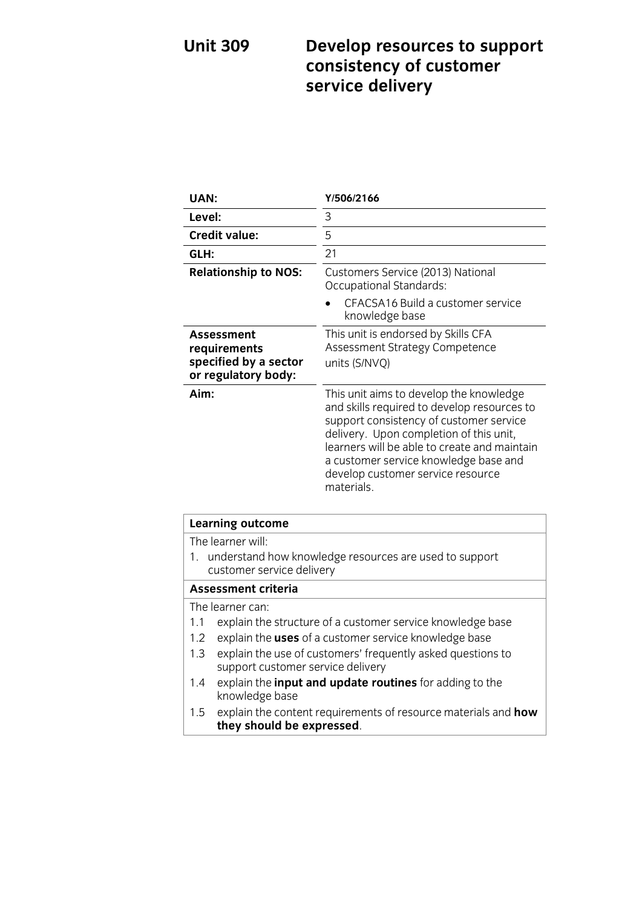## **Unit 309 Develop resources to support consistency of customer service delivery**

| UAN:                                                                       | Y/506/2166                                                                                                                                                                                                                                                                                                               |
|----------------------------------------------------------------------------|--------------------------------------------------------------------------------------------------------------------------------------------------------------------------------------------------------------------------------------------------------------------------------------------------------------------------|
| Level:                                                                     | 3                                                                                                                                                                                                                                                                                                                        |
| <b>Credit value:</b>                                                       | 5                                                                                                                                                                                                                                                                                                                        |
| GLH:                                                                       | 21                                                                                                                                                                                                                                                                                                                       |
| <b>Relationship to NOS:</b>                                                | Customers Service (2013) National<br>Occupational Standards:                                                                                                                                                                                                                                                             |
|                                                                            | CFACSA16 Build a customer service<br>knowledge base                                                                                                                                                                                                                                                                      |
| Assessment<br>requirements<br>specified by a sector<br>or regulatory body: | This unit is endorsed by Skills CFA<br>Assessment Strategy Competence<br>units (S/NVQ)                                                                                                                                                                                                                                   |
| Aim:                                                                       | This unit aims to develop the knowledge<br>and skills required to develop resources to<br>support consistency of customer service<br>delivery. Upon completion of this unit,<br>learners will be able to create and maintain<br>a customer service knowledge base and<br>develop customer service resource<br>materials. |

| Learning outcome                                                                                        |  |
|---------------------------------------------------------------------------------------------------------|--|
| The learner will:                                                                                       |  |
| 1. understand how knowledge resources are used to support<br>customer service delivery                  |  |
| <b>Assessment criteria</b>                                                                              |  |
| The learner can:                                                                                        |  |
| explain the structure of a customer service knowledge base<br>1.1                                       |  |
| explain the <b>uses</b> of a customer service knowledge base<br>1.2                                     |  |
| explain the use of customers' frequently asked questions to<br>1.3<br>support customer service delivery |  |
| explain the <i>input and update routines</i> for adding to the<br>1.4<br>knowledge base                 |  |
| explain the content requirements of resource materials and how<br>1.5<br>they should be expressed.      |  |
|                                                                                                         |  |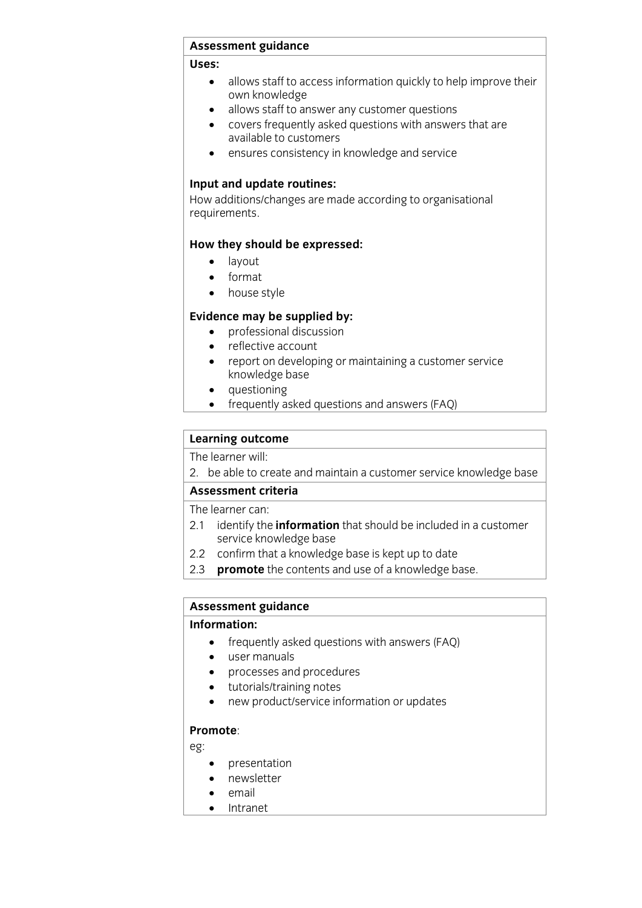### <del>------------- guidance</del><br>--

## **Uses:**

- allows staff to access information quickly to help improve their
- allows staff to answer any customer questions<br>• covers frequently asked questions with answer
- covers frequently asked questions with answers that are
- ensures consistency in knowledge and service

**Input and update routines:**<br>How additions/changes are made according to organisational  $H = \frac{1}{2}$ requirements.

# **How they should be expressed:**<br> $\bullet$  lavout

- layout
- $\bullet$  format
- house style

- **professional discussion** 
	- reflective account<br>• report on developi
	- report on developing or maintaining a customer service<br>knowledge hase
	- questioning<br>• frequently asked
	- frequently asked questions and answers (FAQ)

## **Learning outcome**<br>The learner will:

2. be able to create and maintain a customer service knowledge base

### Assessment criteria

The learner can:

- 2.1 identify the **information** that should be included in a customer service knowledge base
- $2.2$ confirm that a knowledge base is kept up to date
- 2.3 **promote** the contents and use of a knowledge base. 2.3 **promote** the contents and use of a knowledge base.

## **Assessment guidance**

- **Information:**<br> **Information** entity asked questions with answers (FAQ)
	- user manuals
	- processes and procedures
	- tutorials/training notes<br>• new product/service in
	- new product/service information or updates

## **Promote**:

eg:

- presentation
- newsletter
- email
- Intranet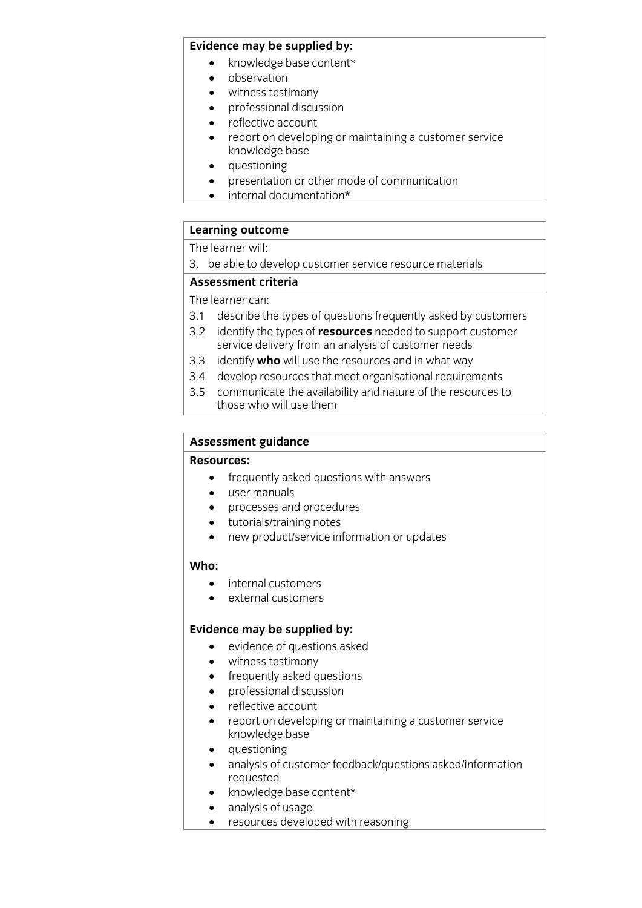- **Existence may be supplied by:**<br> **Existing** 
	- observation
	- witness testimony
	- professional discussion
	- reflective account<br>• report on developi
	- report on developing or maintaining a customer service
	- questioning<br>• presentation or
	- presentation or other mode of communication
	- internal documentation\*

# **Learning outcome**<br>The learner will:

a hombotod  $\frac{3}{2}$ . because the develop customer service resource materials  $\frac{3}{2}$ 

The learner can:

- 3.1 describe the types of questions frequently asked by customers
- 3.2 identify the types of **resources** needed to support customer service delivery from an analysis of customer needs
- 3.3 identify **who** will use the resources and in what way
- 3.4 develop resources that meet organisational requirements
- 3.5 communicate the availability and nature of the resources to those who will use them those who will use the main will use the main will use the will use them will use the main will use the second <br>The main will use the main will use the main will use the main will use the main will use the main will use th

# **Assessment guidance**

- **Exercise:**<br> **e** frequently asked questions with answers
	- user manuals
	- processes and procedures
	- tutorials/training notes<br>• new product/service int
	- new product/service information or updates

### Who:

- **Who:** • internal customers<br>• external customers
- external customers

- **Existence may be supplied by:**<br> **e** evidence of questions asked
	- witness testimony
	- frequently asked questions
	- professional discussion
	- reflective account<br>• report on developi
	- report on developing or maintaining a customer service
	- $\bullet$  questioning<br>  $\bullet$  analysis of custo
	- analysis of customer feedback/questions asked/information
	- $\bullet$  knowledge base content\*
	- analysis of usage
	- resources developed with reasoning